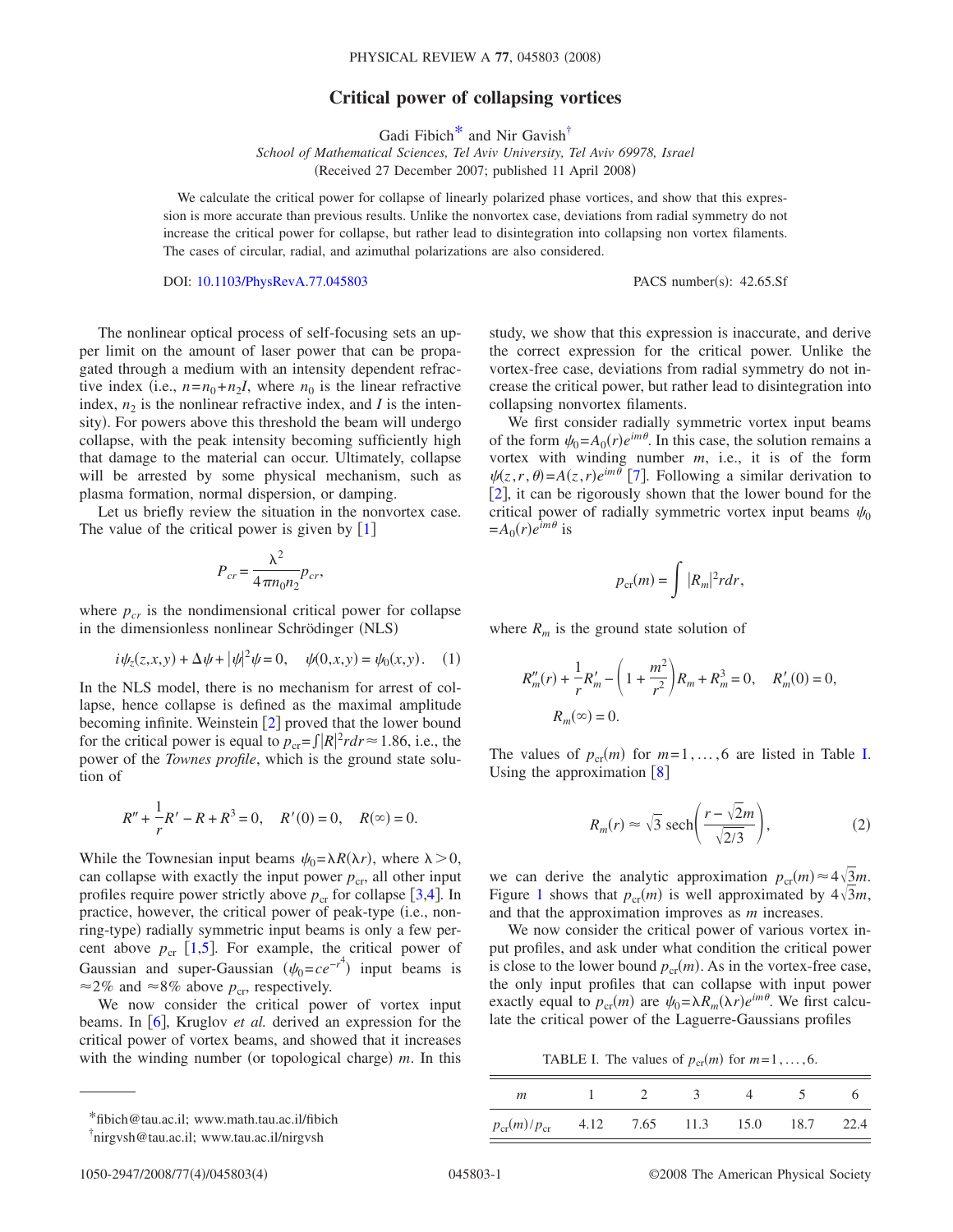## **Critical power of collapsing vortices**

Gadi Fibich<sup>\*</sup> and Nir Gavish<sup>†</sup>

*School of Mathematical Sciences, Tel Aviv University, Tel Aviv 69978, Israel* (Received 27 December 2007; published 11 April 2008)

We calculate the critical power for collapse of linearly polarized phase vortices, and show that this expression is more accurate than previous results. Unlike the nonvortex case, deviations from radial symmetry do not increase the critical power for collapse, but rather lead to disintegration into collapsing non vortex filaments. The cases of circular, radial, and azimuthal polarizations are also considered.

DOI: [10.1103/PhysRevA.77.045803](http://dx.doi.org/10.1103/PhysRevA.77.045803)

PACS number(s): 42.65.Sf

The nonlinear optical process of self-focusing sets an upper limit on the amount of laser power that can be propagated through a medium with an intensity dependent refractive index (i.e.,  $n = n_0 + n_2 I$ , where  $n_0$  is the linear refractive index,  $n_2$  is the nonlinear refractive index, and *I* is the intensity). For powers above this threshold the beam will undergo collapse, with the peak intensity becoming sufficiently high that damage to the material can occur. Ultimately, collapse will be arrested by some physical mechanism, such as plasma formation, normal dispersion, or damping.

Let us briefly review the situation in the nonvortex case. The value of the critical power is given by  $[1]$  $[1]$  $[1]$ 

$$
P_{cr} = \frac{\lambda^2}{4\pi n_0 n_2} p_{cr},
$$

where  $p_{cr}$  is the nondimensional critical power for collapse in the dimensionless nonlinear Schrödinger (NLS)

$$
i\psi_z(z, x, y) + \Delta \psi + |\psi|^2 \psi = 0, \quad \psi(0, x, y) = \psi_0(x, y). \quad (1)
$$

<span id="page-0-4"></span>In the NLS model, there is no mechanism for arrest of collapse, hence collapse is defined as the maximal amplitude becoming infinite. Weinstein  $[2]$  $[2]$  $[2]$  proved that the lower bound for the critical power is equal to  $p_{cr} = \int |R|^2 r dr \approx 1.86$ , i.e., the power of the *Townes profile*, which is the ground state solution of

$$
R'' + \frac{1}{r}R' - R + R^3 = 0, \quad R'(0) = 0, \quad R(\infty) = 0.
$$

While the Townesian input beams  $\psi_0 = \lambda R(\lambda r)$ , where  $\lambda > 0$ , can collapse with exactly the input power  $p_{cr}$ , all other input profiles require power strictly above  $p_{cr}$  for collapse [[3,](#page-3-2)[4](#page-3-3)]. In practice, however, the critical power of peak-type (i.e., nonring-type) radially symmetric input beams is only a few percent above  $p_{cr}$  [[1,](#page-3-0)[5](#page-3-4)]. For example, the critical power of Gaussian and super-Gaussian  $(\psi_0 = ce^{-r^4})$  input beams is  $\approx$ 2% and  $\approx$ 8% above  $p_{cr}$ , respectively.

We now consider the critical power of vortex input beams. In [[6](#page-3-5)], Kruglov *et al.* derived an expression for the critical power of vortex beams, and showed that it increases with the winding number (or topological charge)  $m$ . In this

study, we show that this expression is inaccurate, and derive the correct expression for the critical power. Unlike the vortex-free case, deviations from radial symmetry do not increase the critical power, but rather lead to disintegration into collapsing nonvortex filaments.

We first consider radially symmetric vortex input beams of the form  $\psi_0 = A_0(r)e^{im\theta}$ . In this case, the solution remains a vortex with winding number *m*, i.e., it is of the form  $\psi(z, r, \theta) = A(z, r)e^{im\theta}$  [[7](#page-3-6)]. Following a similar derivation to [[2](#page-3-1)], it can be rigorously shown that the lower bound for the critical power of radially symmetric vortex input beams  $\psi_0$  $=A_0(r)e^{im\theta}$  is

$$
p_{\rm cr}(m) = \int |R_m|^2 r dr,
$$

where  $R_m$  is the ground state solution of

$$
R''_m(r) + \frac{1}{r}R'_m - \left(1 + \frac{m^2}{r^2}\right)R_m + R_m^3 = 0, \quad R'_m(0) = 0,
$$
  

$$
R_m(\infty) = 0.
$$

<span id="page-0-3"></span>The values of  $p_{cr}(m)$  for  $m=1, \ldots, 6$  are listed in Table [I.](#page-0-2) Using the approximation  $\lceil 8 \rceil$  $\lceil 8 \rceil$  $\lceil 8 \rceil$ 

$$
R_m(r) \approx \sqrt{3} \ \text{sech}\bigg(\frac{r - \sqrt{2}m}{\sqrt{2/3}}\bigg),\tag{2}
$$

we can derive the analytic approximation  $p_{cr}(m) \approx 4\sqrt{3}m$ . Figure [1](#page-1-0) shows that  $p_{cr}(m)$  is well approximated by  $4\sqrt{3}m$ , and that the approximation improves as *m* increases.

We now consider the critical power of various vortex input profiles, and ask under what condition the critical power is close to the lower bound  $p_{cr}(m)$ . As in the vortex-free case, the only input profiles that can collapse with input power exactly equal to  $p_{cr}(m)$  are  $\psi_0 = \lambda R_m(\lambda r) e^{im\theta}$ . We first calculate the critical power of the Laguerre-Gaussians profiles

TABLE I. The values of  $p_{cr}(m)$  for  $m=1, \ldots, 6$ .

<span id="page-0-2"></span>

| m                          |      |      |      |      |      |  |
|----------------------------|------|------|------|------|------|--|
| $p_{\rm cr}(m)/p_{\rm cr}$ | 4.12 | 7.65 | 11.3 | 15.0 | 18.7 |  |

<span id="page-0-0"></span><sup>\*</sup>fibich@tau.ac.il; www.math.tau.ac.il/fibich

<span id="page-0-1"></span><sup>†</sup> nirgvsh@tau.ac.il; www.tau.ac.il/nirgvsh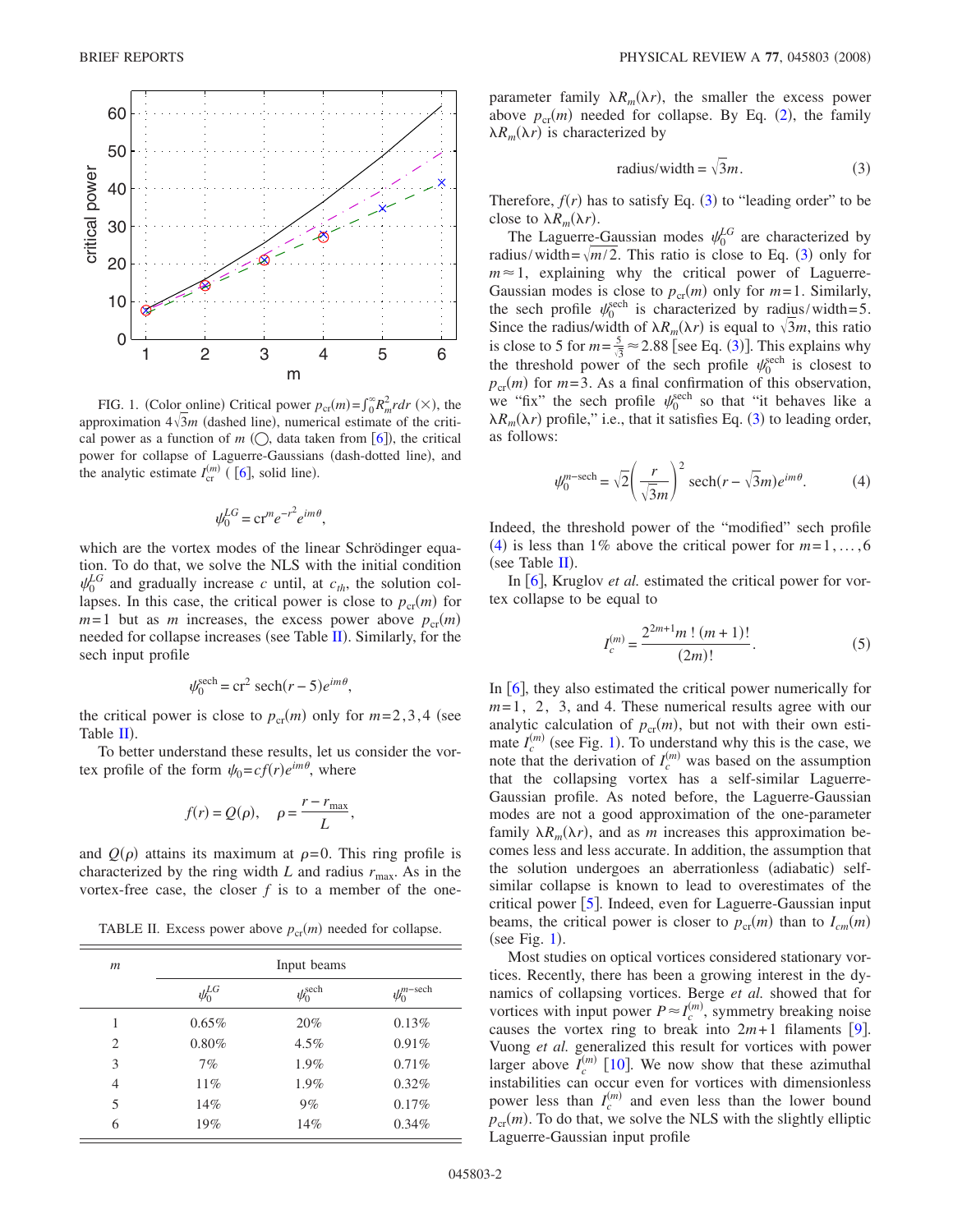<span id="page-1-0"></span>

FIG. 1. (Color online) Critical power  $p_{cr}(m) = \int_0^\infty R_m^2 r dr \ (\times),$  the approximation  $4\sqrt{3}m$  (dashed line), numerical estimate of the critical power as a function of  $m$  ( $\bigcirc$ , data taken from [[6](#page-3-5)]), the critical power for collapse of Laguerre-Gaussians (dash-dotted line), and the analytic estimate  $I_{\text{cr}}^{(m)}$  ([[6](#page-3-5)], solid line).

$$
\psi_0^{LG} = \mathrm{cr}^m e^{-r^2} e^{im\theta},
$$

which are the vortex modes of the linear Schrödinger equation. To do that, we solve the NLS with the initial condition  $\psi_0^{LG}$  and gradually increase *c* until, at  $c_{th}$ , the solution collapses. In this case, the critical power is close to  $p_{cr}(m)$  for  $m=1$  but as *m* increases, the excess power above  $p_{cr}(m)$ needed for collapse increases (see Table [II](#page-1-1)). Similarly, for the sech input profile

$$
\psi_0^{\text{sech}} = \text{cr}^2 \ \text{sech}(r-5)e^{im\theta},
$$

the critical power is close to  $p_{cr}(m)$  only for  $m=2,3,4$  (see Table  $\mathbf{II}$  $\mathbf{II}$  $\mathbf{II}$ ).

To better understand these results, let us consider the vortex profile of the form  $\psi_0 = cf(r)e^{im\theta}$ , where

$$
f(r) = Q(\rho), \quad \rho = \frac{r - r_{\text{max}}}{L},
$$

and  $Q(\rho)$  attains its maximum at  $\rho = 0$ . This ring profile is characterized by the ring width  $L$  and radius  $r_{\text{max}}$ . As in the vortex-free case, the closer  $f$  is to a member of the one-

TABLE II. Excess power above  $p_{cr}(m)$  needed for collapse.

<span id="page-1-1"></span>

| $\mathfrak{m}$ | Input beams   |                        |                          |  |  |
|----------------|---------------|------------------------|--------------------------|--|--|
|                | $\psi_0^{LG}$ | $\psi_0^{\text{sech}}$ | $\psi_0^{n-\text{sech}}$ |  |  |
| 1              | $0.65\%$      | 20%                    | 0.13%                    |  |  |
| $\overline{2}$ | $0.80\%$      | $4.5\%$                | 0.91%                    |  |  |
| 3              | 7%            | 1.9%                   | 0.71%                    |  |  |
| $\overline{4}$ | 11%           | 1.9%                   | $0.32\%$                 |  |  |
| 5              | 14%           | 9%                     | 0.17%                    |  |  |
| 6              | 19%           | 14%                    | $0.34\%$                 |  |  |

parameter family  $\lambda R_m(\lambda r)$ , the smaller the excess power above  $p_{cr}(m)$  needed for collapse. By Eq. ([2](#page-0-3)), the family  $\lambda R_m(\lambda r)$  is characterized by

radius/width = 
$$
\sqrt{3}m
$$
. (3)

<span id="page-1-2"></span>Therefore,  $f(r)$  has to satisfy Eq. ([3](#page-1-2)) to "leading order" to be close to  $\lambda R_m(\lambda r)$ .

The Laguerre-Gaussian modes  $\psi_0^{LG}$  are characterized by radius/width= $\sqrt{m/2}$ . This ratio is close to Eq. ([3](#page-1-2)) only for  $m \approx 1$ , explaining why the critical power of Laguerre-Gaussian modes is close to  $p_{cr}(m)$  only for  $m=1$ . Similarly, the sech profile  $\psi_0^{\text{sech}}$  is characterized by radius/width=5. Since the radius/width of  $\lambda R_m(\lambda r)$  is equal to  $\sqrt{3}m$ , this ratio is close to 5 for  $m = \frac{5}{\sqrt{3}} \approx 2.88$  $m = \frac{5}{\sqrt{3}} \approx 2.88$  $m = \frac{5}{\sqrt{3}} \approx 2.88$  [see Eq. (3)]. This explains why the threshold power of the sech profile  $\psi_0^{\text{sech}}$  is closest to  $p_{cr}(m)$  for  $m=3$ . As a final confirmation of this observation, we "fix" the sech profile  $\psi_0^{\text{sech}}$  so that "it behaves like a  $\lambda R_m(\lambda r)$  profile," i.e., that it satisfies Eq. ([3](#page-1-2)) to leading order, as follows:

$$
\psi_0^{m-\text{sech}} = \sqrt{2} \left( \frac{r}{\sqrt{3}m} \right)^2 \text{sech}(r - \sqrt{3}m)e^{im\theta}.
$$
 (4)

<span id="page-1-3"></span>Indeed, the threshold power of the "modified" sech profile ([4](#page-1-3)) is less than 1% above the critical power for  $m=1,\ldots,6$ (see Table  $II$ ).

In  $\lceil 6 \rceil$  $\lceil 6 \rceil$  $\lceil 6 \rceil$ , Kruglov *et al.* estimated the critical power for vortex collapse to be equal to

$$
I_c^{(m)} = \frac{2^{2m+1}m! (m+1)!}{(2m)!}.
$$
 (5)

In  $\lceil 6 \rceil$  $\lceil 6 \rceil$  $\lceil 6 \rceil$ , they also estimated the critical power numerically for *m*=1, 2, 3, and 4. These numerical results agree with our analytic calculation of  $p_{cr}(m)$ , but not with their own estimate  $I_c^{(m)}$  (see Fig. [1](#page-1-0)). To understand why this is the case, we note that the derivation of  $I_c^{(m)}$  was based on the assumption that the collapsing vortex has a self-similar Laguerre-Gaussian profile. As noted before, the Laguerre-Gaussian modes are not a good approximation of the one-parameter family  $\lambda R_m(\lambda r)$ , and as *m* increases this approximation becomes less and less accurate. In addition, the assumption that the solution undergoes an aberrationless (adiabatic) selfsimilar collapse is known to lead to overestimates of the critical power  $[5]$  $[5]$  $[5]$ . Indeed, even for Laguerre-Gaussian input beams, the critical power is closer to  $p_{cr}(m)$  than to  $I_{cm}(m)$  $(see Fig. 1).$  $(see Fig. 1).$  $(see Fig. 1).$ 

Most studies on optical vortices considered stationary vortices. Recently, there has been a growing interest in the dynamics of collapsing vortices. Berge *et al.* showed that for vortices with input power  $P \approx I_c^{(m)}$ , symmetry breaking noise causes the vortex ring to break into  $2m+1$  filaments [[9](#page-3-8)]. Vuong *et al.* generalized this result for vortices with power larger above  $I_c^{(m)}$  [[10](#page-3-9)]. We now show that these azimuthal instabilities can occur even for vortices with dimensionless power less than  $I_c^{(m)}$  and even less than the lower bound  $p_{cr}(m)$ . To do that, we solve the NLS with the slightly elliptic Laguerre-Gaussian input profile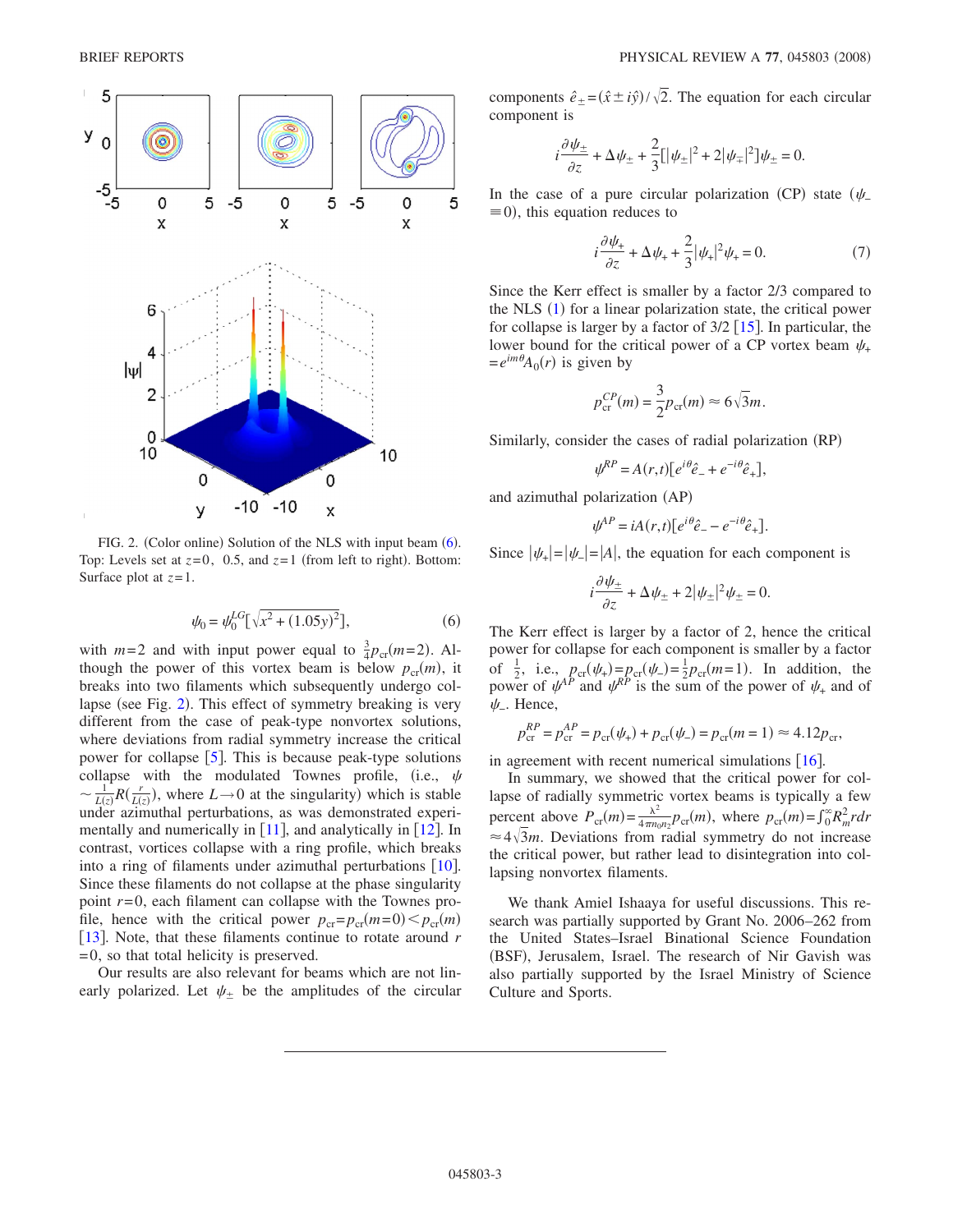<span id="page-2-0"></span>

FIG. 2. (Color online) Solution of the NLS with input beam ([6](#page-2-1)). Top: Levels set at  $z=0$ , 0.5, and  $z=1$  (from left to right). Bottom: Surface plot at *z*=1.

$$
\psi_0 = \psi_0^{LG} [\sqrt{x^2 + (1.05y)^2}], \tag{6}
$$

<span id="page-2-1"></span>with  $m=2$  and with input power equal to  $\frac{3}{4}p_{cr}(m=2)$ . Although the power of this vortex beam is below  $p_{cr}(m)$ , it breaks into two filaments which subsequently undergo col-lapse (see Fig. [2](#page-2-0)). This effect of symmetry breaking is very different from the case of peak-type nonvortex solutions, where deviations from radial symmetry increase the critical power for collapse  $[5]$  $[5]$  $[5]$ . This is because peak-type solutions collapse with the modulated Townes profile, (i.e.,  $\psi$  $\sim \frac{1}{L(z)} R(\frac{r}{L(z)})$ , where  $L \rightarrow 0$  at the singularity) which is stable under azimuthal perturbations, as was demonstrated experimentally and numerically in  $[11]$  $[11]$  $[11]$ , and analytically in  $[12]$  $[12]$  $[12]$ . In contrast, vortices collapse with a ring profile, which breaks into a ring of filaments under azimuthal perturbations  $[10]$  $[10]$  $[10]$ . Since these filaments do not collapse at the phase singularity point *r*=0, each filament can collapse with the Townes profile, hence with the critical power  $p_{cr} = p_{cr}(m=0) \lt p_{cr}(m)$ [[13](#page-3-12)]. Note, that these filaments continue to rotate around *r* =0, so that total helicity is preserved.

Our results are also relevant for beams which are not linearly polarized. Let  $\psi_{\pm}$  be the amplitudes of the circular

components  $\hat{e}_{\pm} = (\hat{x} \pm i\hat{y}) / \sqrt{2}$ . The equation for each circular component is

$$
i\frac{\partial \psi_{\pm}}{\partial z} + \Delta \psi_{\pm} + \frac{2}{3} [\psi_{\pm}]^2 + 2 |\psi_{\mp}|^2 \psi_{\pm} = 0.
$$

<span id="page-2-2"></span>In the case of a pure circular polarization (CP) state  $(\psi_-\)$  $\equiv$ 0), this equation reduces to

$$
i\frac{\partial \psi_{+}}{\partial z} + \Delta \psi_{+} + \frac{2}{3} |\psi_{+}|^{2} \psi_{+} = 0.
$$
 (7)

Since the Kerr effect is smaller by a factor 2/3 compared to the NLS  $(1)$  $(1)$  $(1)$  for a linear polarization state, the critical power for collapse is larger by a factor of  $3/2$  [[15](#page-3-13)]. In particular, the lower bound for the critical power of a CP vortex beam  $\psi$ .  $=e^{im\theta}A_0(r)$  is given by

$$
p_{\rm cr}^{CP}(m) = \frac{3}{2} p_{\rm cr}(m) \approx 6\sqrt{3}m.
$$

Similarly, consider the cases of radial polarization (RP)

$$
\psi^{RP} = A(r,t)[e^{i\theta}\hat{e}_- + e^{-i\theta}\hat{e}_+],
$$

and azimuthal polarization (AP)

$$
\psi^{AP} = iA(r,t)[e^{i\theta}\hat{e}_- - e^{-i\theta}\hat{e}_+].
$$

Since  $|\psi_{+}|=|\psi_{-}|=|A|$ , the equation for each component is

$$
i\frac{\partial \psi_{\pm}}{\partial z} + \Delta \psi_{\pm} + 2|\psi_{\pm}|^2 \psi_{\pm} = 0.
$$

The Kerr effect is larger by a factor of 2, hence the critical power for collapse for each component is smaller by a factor of  $\frac{1}{2}$ , i.e.,  $p_{cr}(\psi_+) = p_{cr}(\psi_-) = \frac{1}{2}p_{cr}(m=1)$ . In addition, the power of  $\psi^{AP}$  and  $\psi^{RP}$  is the sum of the power of  $\psi_{+}$  and of  $\psi$ <sub>-</sub>. Hence,

$$
p_{\rm cr}^{RP} = p_{\rm cr}^{AP} = p_{\rm cr}(\psi_+) + p_{\rm cr}(\psi_-) = p_{\rm cr}(m = 1) \approx 4.12 p_{\rm cr},
$$

in agreement with recent numerical simulations  $[16]$  $[16]$  $[16]$ .

In summary, we showed that the critical power for collapse of radially symmetric vortex beams is typically a few percent above  $P_{cr}(m) = \frac{\lambda^2}{4\pi n_0 n_2} p_{cr}(m)$ , where  $p_{cr}(m) = \int_0^\infty R_m^2 r dr$  $\approx$  4 $\sqrt{3}$ *m*. Deviations from radial symmetry do not increase the critical power, but rather lead to disintegration into collapsing nonvortex filaments.

We thank Amiel Ishaaya for useful discussions. This research was partially supported by Grant No. 2006–262 from the United States–Israel Binational Science Foundation (BSF), Jerusalem, Israel. The research of Nir Gavish was also partially supported by the Israel Ministry of Science Culture and Sports.